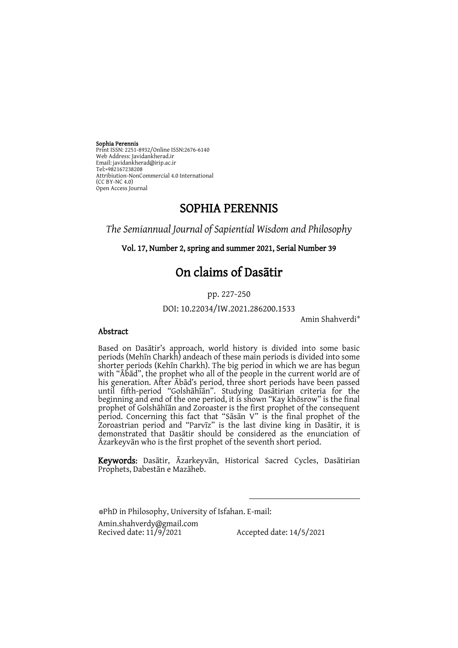Sophia Perennis Print ISSN: 2251-8932/Online ISSN:2676-6140 Web Address: Javidankherad.ir Email[: javidankherad@irip.ac.ir](mailto:javidankherad@irip.ac.ir) [Tel:+982167238208](tel:+982167238208) Attribiution-NonCommercial 4.0 International (CC BY-NC 4.0) Open Access Journal

## SOPHIA PERENNIS

*The Semiannual Journal of Sapiential Wisdom and Philosophy*

Vol. 17, Number 2, spring and summer 2021, Serial Number 39

# On claims of Dasātir

pp. 227-250

DOI: 10.22034/IW.2021.286200.1533

Amin Shahverdi\*

#### Abstract

Based on Dasātir's approach, world history is divided into some basic periods (Mehīn Charkh) andeach of these main periods is divided into some shorter periods (Kehīn Charkh). The big period in which we are has begun with "Ābād", the prophet who all of the people in the current world are of his generation. After Ābād's period, three short periods have been passed until fifth-period "Golshāhīān". Studying Dasātirian criteria for the beginning and end of the one period, it is shown "Kay khōsrow" is the final prophet of Golshāhīān and Zoroaster is the first prophet of the consequent period. Concerning this fact that "Sāsān V" is the final prophet of the Zoroastrian period and "Parvīz" is the last divine king in Dasātir, it is demonstrated that Dasātir should be considered as the enunciation of Āzarkeyvān who is the first prophet of the seventh short period.

Keywords: Dasātir, Āzarkeyvān, Historical Sacred Cycles, Dasātirian Prophets, Dabestān e Mazāheb.

 $\overline{a}$ 

\*PhD in Philosophy, University of Isfahan. E-mail:

[Amin.shahverdy@gmail.com](mailto:Amin.shahverdy@gmail.com)<br>Recived date: 11/9/2021

Accepted date:  $14/5/2021$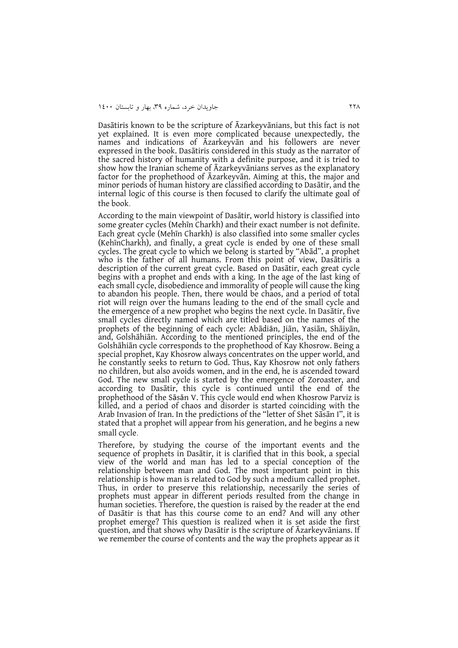Dasātiris known to be the scripture of Āzarkeyvānians, but this fact is not yet explained. It is even more complicated because unexpectedly, the names and indications of Āzarkeyvān and his followers are never expressed in the book. Dasātiris considered in this study as the narrator of the sacred history of humanity with a definite purpose, and it is tried to show how the Iranian scheme of Āzarkeyvānians serves as the explanatory factor for the prophethood of Āzarkeyvān. Aiming at this, the major and minor periods of human history are classified according to Dasātir, and the internal logic of this course is then focused to clarify the ultimate goal of the book.

According to the main viewpoint of Dasātir, world history is classified into some greater cycles (Mehīn Charkh) and their exact number is not definite. Each great cycle (Mehīn Charkh) is also classified into some smaller cycles (KehīnCharkh), and finally, a great cycle is ended by one of these small cycles. The great cycle to which we belong is started by "Abād", a prophet who is the father of all humans. From this point of view, Dasātiris a description of the current great cycle. Based on Dasātir, each great cycle begins with a prophet and ends with a king. In the age of the last king of each small cycle, disobedience and immorality of people will cause the king to abandon his people. Then, there would be chaos, and a period of total riot will reign over the humans leading to the end of the small cycle and the emergence of a new prophet who begins the next cycle. In Dasātir, five small cycles directly named which are titled based on the names of the prophets of the beginning of each cycle: Abādiān, Jiān, Yasiān, Shāiyān, and, Golshāhiān. According to the mentioned principles, the end of the Golshāhiān cycle corresponds to the prophethood of Kay Khosrow. Being a special prophet, Kay Khosrow always concentrates on the upper world, and he constantly seeks to return to God. Thus, Kay Khosrow not only fathers no children, but also avoids women, and in the end, he is ascended toward God. The new small cycle is started by the emergence of Zoroaster, and according to Dasātir, this cycle is continued until the end of the prophethood of the Sāsān V. This cycle would end when Khosrow Parviz is killed, and a period of chaos and disorder is started coinciding with the Arab Invasion of Iran. In the predictions of the "letter of Shet Sāsān I", it is stated that a prophet will appear from his generation, and he begins a new small cycle.

Therefore, by studying the course of the important events and the sequence of prophets in Dasātir, it is clarified that in this book, a special view of the world and man has led to a special conception of the relationship between man and God. The most important point in this relationship is how man is related to God by such a medium called prophet. Thus, in order to preserve this relationship, necessarily the series of prophets must appear in different periods resulted from the change in human societies. Therefore, the question is raised by the reader at the end of Dasātir is that has this course come to an end? And will any other prophet emerge? This question is realized when it is set aside the first question, and that shows why Dasātir is the scripture of Āzarkeyvānians. If we remember the course of contents and the way the prophets appear as it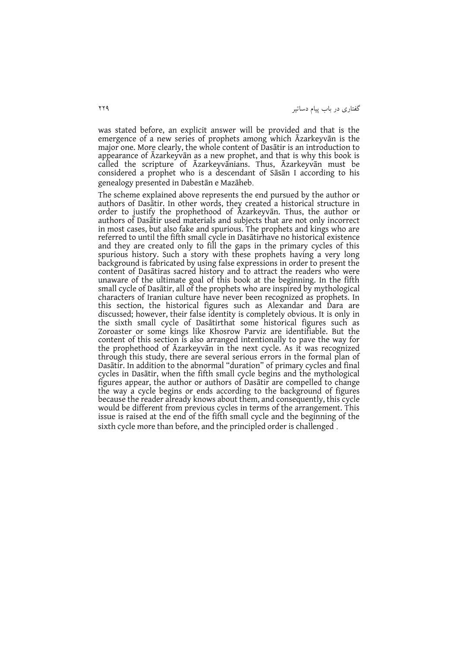گفتاری در باب پیام دساتیر 223

was stated before, an explicit answer will be provided and that is the emergence of a new series of prophets among which Āzarkeyvān is the major one. More clearly, the whole content of Dasātir is an introduction to appearance of Āzarkeyvān as a new prophet, and that is why this book is called the scripture of Āzarkeyvānians. Thus, Āzarkeyvān must be considered a prophet who is a descendant of Sāsān I according to his genealogy presented in Dabestān e Mazāheb.

The scheme explained above represents the end pursued by the author or authors of Dasātir. In other words, they created a historical structure in order to justify the prophethood of Āzarkeyvān. Thus, the author or authors of Dasātir used materials and subjects that are not only incorrect in most cases, but also fake and spurious. The prophets and kings who are referred to until the fifth small cycle in Dasātirhave no historical existence and they are created only to fill the gaps in the primary cycles of this spurious history. Such a story with these prophets having a very long background is fabricated by using false expressions in order to present the content of Dasātiras sacred history and to attract the readers who were unaware of the ultimate goal of this book at the beginning. In the fifth small cycle of Dasātir, all of the prophets who are inspired by mythological characters of Iranian culture have never been recognized as prophets. In this section, the historical figures such as Alexandar and Dara are discussed; however, their false identity is completely obvious. It is only in the sixth small cycle of Dasātirthat some historical figures such as Zoroaster or some kings like Khosrow Parviz are identifiable. But the content of this section is also arranged intentionally to pave the way for the prophethood of Āzarkeyvān in the next cycle. As it was recognized through this study, there are several serious errors in the formal plan of Dasātir. In addition to the abnormal "duration" of primary cycles and final cycles in Dasātir, when the fifth small cycle begins and the mythological figures appear, the author or authors of Dasātir are compelled to change the way a cycle begins or ends according to the background of figures because the reader already knows about them, and consequently, this cycle would be different from previous cycles in terms of the arrangement. This issue is raised at the end of the fifth small cycle and the beginning of the sixth cycle more than before, and the principled order is challenged .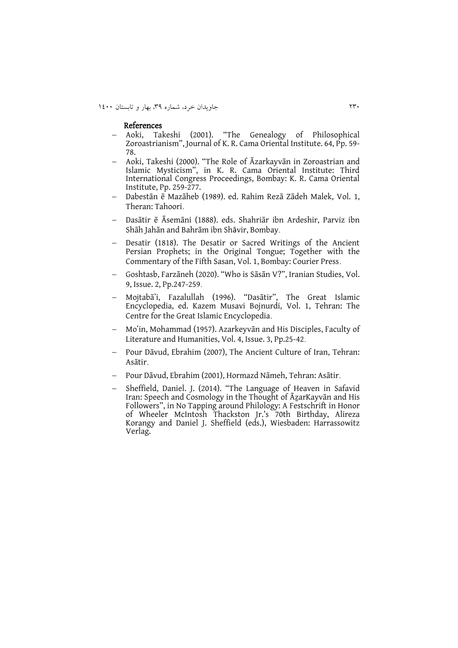291 جاويدان خرد، شماره ،93 بهار و تابستان 0011

#### References

- Aoki, Takeshi (2001). "The Genealogy of Philosophical Zoroastrianism", Journal of K. R. Cama Oriental Institute. 64, Pp. 59- 78.
- Aoki, Takeshi (2000). "The Role of Āzarkayvān in Zoroastrian and Islamic Mysticism", in K. R. Cama Oriental Institute: Third International Congress Proceedings, Bombay: K. R. Cama Oriental Institute, Pp. 259-277.
- Dabestān ē Mazāheb (1989). ed. Rahim Rezā Zādeh Malek, Vol. 1, Theran: Tahoori.
- Dasātir ē Āsemāni (1888). eds. Shahriār ibn Ardeshir, Parviz ibn Shāh Jahān and Bahrām ibn Shāvir, Bombay.
- Desatir (1818). The Desatir or Sacred Writings of the Ancient Persian Prophets; in the Original Tongue; Together with the Commentary of the Fifth Sasan, Vol. 1, Bombay: Courier Press.
- Goshtasb, Farzāneh (2020). "Who is Sāsān V?", Iranian Studies, Vol. 9, Issue. 2, Pp.247-259.
- Mojtabā'i, Fazalullah (1996). "Dasātir", The Great Islamic Encyclopedia, ed. Kazem Musavi Bojnurdi, Vol. 1, Tehran: The Centre for the Great Islamic Encyclopedia.
- Mo'in, Mohammad (1957). Azarkeyvān and His Disciples, Faculty of Literature and Humanities, Vol. 4, Issue. 3, Pp.25-42.
- Pour Dāvud, Ebrahim (2007), The Ancient Culture of Iran, Tehran: Asātir.
- Pour Dāvud, Ebrahim (2001), Hormazd Nāmeh, Tehran: Asātir.
- Sheffield, Daniel. J. (2014). "The Language of Heaven in Safavid Iran: Speech and Cosmology in the Thought of AzarKayvan and His Followers", in No Tapping around Philology: A Festschrift in Honor of Wheeler McIntosh Thackston Jr.'s 70th Birthday, Alireza Korangy and Daniel J. Sheffield (eds.), Wiesbaden: Harrassowitz Verlag.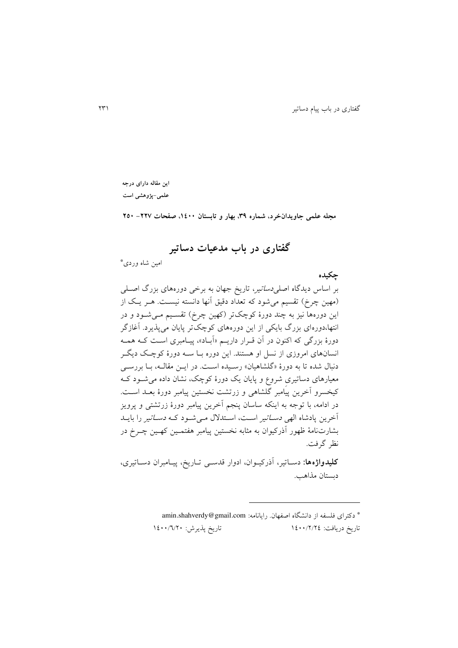**این مقاله دارای درجه علمی-پژوهشی است**

**مجله علمی جاویدانخرد، شماره ،93 بهار و تابستان ،0011 صفحات -222 251**

**گفتاری در باب مدعیات دساتیر**

\* امین شاه وردی

**چکیده** بر اساس ديدگاه اصل*ی دساتير*، تاريخ جهان به برخی دورههای بزرگ اصــلی (مهین چرخ) تقسیم میشود که تعداد دقیق آنها دانسته نیست. هـر يـک از این دورهها نیز به چند دورهٔ کوچکتر (کهین چرخ) تقسـیم مـیشـود و در انتها،دورهای بزرگ بايکی از اين دورههای کوچکتر پايان میپذيرد. آغازگر دورهٔ بزرگی که اکنون در آن قـرار داريــم «آبـاد»، پيـامبری اسـت کــه همــه انسانهای امروزی از نسل او هستند. اين دوره بلا سله دورة کوچلک د يگلر دنبال شده تا به دورهٔ «گلشاهیان» رسـیده اسـت. در ایــن مقالــه، بــا بررســی معیارهای دساتیریِ شروع و پايان يک دورة کوچک، نشان داده میشلود کله کیخسرو آخرين پيامبر گلشاهی و زرتشت نخستین پیامبر دورهٔ بعــد اســت. در ادامه، با توجه به اينکه ساسان پنجم آخرين پیامبر دورة زرتشتی و پرويز آخرين پادشاه الهی *دسـاتير* اسـت، اسـتدلال مـی شـود کـه *دسـاتير* را بايـد بشارتنامهٔ ظهور آذرکیوان به مثابه نخستین پیامبر هفتمـین کهـین چـرخ در نظر گرفت.

<mark>کلیدواژهها:</mark> دساتیر، آذرکیـوان، ادوار قدسـی تـاریخ، پیـامبران دسـاتیری، دبستان مذاهب.

> \* دکترای فلسفه از دانشگاه اصفهان. رايانامه: [com.gmail@shahverdy.amin](mailto:amin.shahverdy@gmail.com) تاريخ درياف : 0011/2/20 تاريخ پذيرش: 0011/6/21

 $\overline{a}$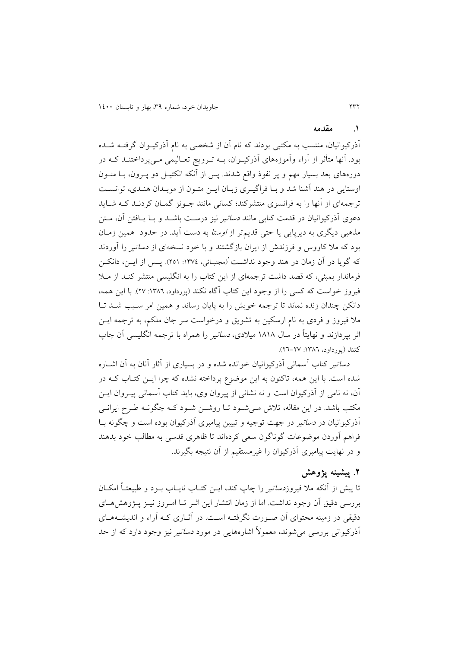#### **.0 مقدمه**

آذرکیوانیان، منتسب به مکتبی بودند که نام آن از شخصی به نام آذرکیـوان گرفتــه شــده بود. آنها متأثر از آراء وآموزههای آذرکیــوان، بــه تــرویج تعــالیمی مــیپرداختنــد کــه در دورههای بعد بسیار مهم و پر نفوذ واقع شدند. پس از آنکه انکتیـل دو پــرون، بــا متــون اوستايی در هند آشنا شد و بـا فراگيـري زبـان ايـن متـون از موبـدان هنـدي، توانسـت ترجمهای از آنها را به فرانسوی منتشرکند؛ کسانی مانند جلونز گملان کردنلد کله شلا يد دعوی آذرکیوانیان در قدمت کتابی مانند *دساتی*ر نیز درسـت باشــد و بــا پــافتن آن، مــتن مذهبی ديگری به ديرپايی يا حتی قديمتر از *اوستا* به دست آيد. در حدود همين زمـان بود که مال کاووس و فرزندش از ايران بازگشتند و با خود نسخهای از دساتیر را آوردند که گویا در آن زمان در هند وجود نداشـت'(مجتبـائی، ١٣٧٤: ٢٥١). پــس از ايــن، دانکــن فرماندار بمبئی، که قصد داشت ترجمهای از اين کتاب را به انگليسی منتشر کنـد از مـلا فیروز خواست که کسی را از وجود اين کتاب آگاه نکند (پورداود، ١٣٨٦: ٢٧). با اين همه، دانکن چندان زنده نماند تا ترجمه خويش را به پايان رساند و همین امر سلبب شلد تلا ملا فیروز و فردی به نام ارسکین به تشویق و درخواست سر جان ملکم، به ترجمه ایــن اثر بپردازند و نهايتاً در سال 0202 میالدی، دساتیر را همراه با ترجمه انگلیسی آن چاپ کنند (پورداود، ١٣٨٦: ٢٧-٢٦).

دساتیر کتاب آسمانی آذرکیوانیان خوانده شده و در بسیاری از آثار آنان به آن اشلاره شده است. با اين همه، تاکنون به اين موضوع پرداخته نشده که چرا ايـن کتـاب کـه در آن، نه نامی از آذرکیوان است و نه نشانی از پیروان وی، باید کتاب آسمانی پیـروان ايــن مکتب باشد. در اين مقاله، تلاش ملي شـود تـا روشـن شـود کـه چگونـه طـرح ايرانـي آذرکیوانیان در *دساتیر* در جهت توجیه و تبیین پیامبری آذرکیوان بوده است و چگونه بــا فراهم آوردن موضوعات گوناگون سعی کردهاند تا ظاهری قدسی به مطالب خود بدهند و در نهایت پیامبری آذرکیوان را غیرمستقیم از آن نتیجه بگیرند.

### **.2 پیشینه پژوهش**

تا پیش از آنکه ملا فیروز*دساتی*ر را چاپ کند، ایــن کتــاب نایــاب بــود و طبیعتــاً امکــان بررسی دقیق آن وجود نداشت. اما از زمان انتشار این اثـر تــا امـروز نیــز پــژوهش هــای دقیقی در زمینه محتوای آن صـورت نگرفتـه اسـت. در آثــاری کــه آراء و اندیشــههــای آذرکیوانی بررسی می شوند، معمولاً اشارههایی در مورد *دساتی*ر نیز وجود دارد که از حد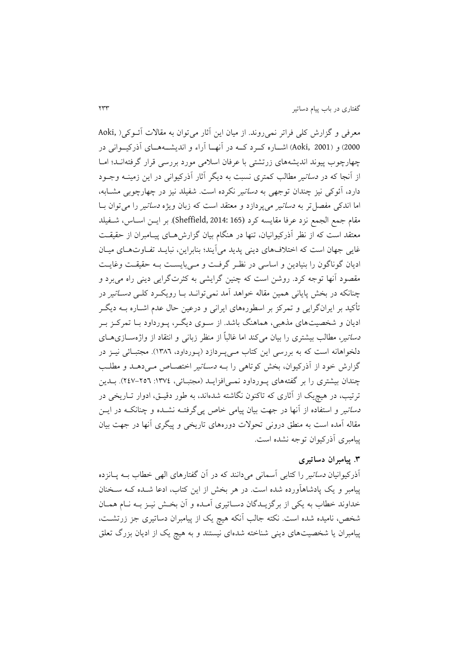معرفی و گزارش کلی فراتر نمی روند. از میان این آثار می توان به مقالات آئــوکی( ,Aoki 2000) و (Aoki, 2001) اشــاره کــرد کــه در آنهــا آراء و انديشــههــای آذرکیــوانی در چهارچوب پیوند انديشههای زرتشتی با عرفان اسالمی مورد بررسی قرار گرفتهانلد؛ املا از آنجا که در *دساتیر مطالب کمتری نسبت به دیگر آثار آذرکیوانی در این زمینــه وجــو*د دارد، آئوکی نیز چندان توجهی به *دساتی*ر نکرده است. شفیلد نیز در چهارچوبی مشـابه، اما اندکی مفصل تر به *دساتیر* می پردازد و معتقد است که زبان ویژه *دساتیر* را می توان بــا مقام جمع الجمع نزد عرفا مقايسه کرد (165 :Sheffield, 2014 ). بر ايــن اســاس، شــفيلد معتقد است که از نظر آذرکیوانیان، تنها در هنگام بیان گزارشهای پیـامبران از حقیقـت غايی جهان است که اختلافهای دينی پديد می آيند؛ بنابراين، نبايـد تفـاوتهـای ميـان اديان گوناگون را بنيادين و اساسی در نظر گرفت و مـی،بايسـت بـه حقيقـت وغايـت مقصود آنها توجه کرد. روشن است که چنین گرايشی به کثرتگرايی دينی راه میبرد و چنانکه در بخش پايانی همین مقاله خواهد آمد نمی توانـد بـا رويکـرد کلـی *دسـاتير* در تأکید بر ايرانگرايی و تمرکز بر اسطورههای ايرانی و درعین حال عدم اشلاره بله ديگلر اديان و شخصيتهای مذهبی، هماهنگ باشد. از سـوی ديگـر، پـورداود بـا تمرکـز بـر د*ساتی*ر، مطالب بیشتری را بیان میکند اما غالباً از منظر زبانی و انتقاد از واژهســازیهــای دلخواهانه است که به بررسی این کتاب مـیپـردازد (پـورداود، ١٣٨٦). مجتبـائی نیــز در گزارش خود از آذرکیوان، بخش کوتاهی را بـه *دسـاتیر اختصـاص مـی*دهـلـ و مطلـب چندان بیشتری را بر گفتههای پـورداود نمـی|فزايـد (مجتبـائی، ١٣٧٤: ٢٥٦-٢٤٧). بــدين ترتیب، در هیچ<sub>ی</sub>ک از آثاری که تاکنون نگاشته شدهاند، به طور دقیــق، ادوار تــاریخی در د*ساتیر و استفاده از آنها در جهت بیان پیامی خاص پی گرفتـه نشــده و چنانکــه در ایــن* مقاله آمده است به منطق درونی تحولات دورههای تاریخی و پیگری آنها در جهت بیان پیامبری آذرکیوان توجه نشده است.

### **.9 پیامبران دساتیری**

آذرکیوانیان *دساتی*ر را کتابی آسمانی میدانند که در آن گفتارهای الهی خطاب بــه پــانزده پیامبر و یک پادشاهآورده شده است. در هر بخش از این کتاب، ادعا شــده کــه ســخنان خداوند خطاب به يکي از برگزيـدگان دسـاتيري آمـده و آن بخـش نيـز بــه نــام همـان شخص، نامیده شده است. نکته جالب آنکه هیچ یک از پیامبران دساتیری جز زرتشــت، پیامبران يا شخصیتهای دينی شناخته شدهای نیستند و به هیچ يک از اديان بزرگ تعلق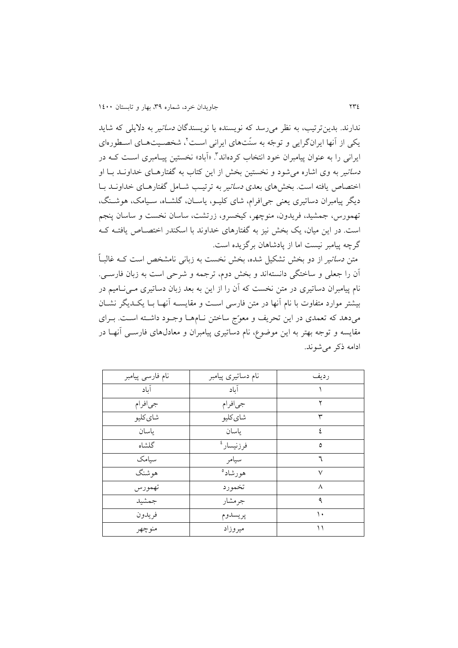ندارند. بدينترتیب، به نظر می رسد که نويسنده يا نويسندگان *دساتیر* به دلايل<sub>ی</sub> که شايد یکی از آنها ایرانگرایی و توجّه به سنّتهای ایرانی است'، شخصـیتهـای اسـطورهای ایرانی را به عنوان پیامبران خود انتخاب کردهاند<sup>۲</sup>. «أباد» نخستین پیـامبری اسـت کــه در د*ساتی*ر به وی اشاره می شود و نخستین بخش از این کتاب به گفتارهـای خداونــد بــا او اختصاص يافته است. بخشهای بعدی *دساتی*ر به ترتیب شـامل گفتارهـای خداونــد بــا ديگر پيامبران دساتيري يعني جي|فرام، شاي کليــو، ياســان، گلشــاه، سـيامک، هوشــنگ، تهمورس، جمشید، فريدون، منوچهر، کیخسرو، زرتش ، ساسان نخس و ساسان پنجم است. در اين ميان، يک بخش نيز به گفتارهای خداوند با اسکندر اختصـاص يافتـه کـه گرچه پیامبر نیست اما از پادشاهان برگزیده است.

متن *دساتیر* از دو بخش تشکیل شده، بخش نخست به زبانی نامشخص است کــه غالبــاً آن را جعلی و ساختگی دانستهاند و بخش دوم، ترجمه و شرحی است به زبان فارسبی. نام پیامبران دساتیری در متن نخست که آن را از این به بعد زبان دساتیری مـیiسامیم در بیشتر موارد متفاوت با نام آنها در متن فارسی است و مقایسـه آنهـا بـا يکـديگر نشـان میدهد که تعمدی در اين تحريف و معوّج ساختن نـامهـا وجـود داشـته اسـت. بـرای مقايسه و توجه بهتر به اين موضوع، نام دساتیری پیامبران و معادلهای فارسل ی آنهلا در ادامه ذکر میشوند.

| نام فارسى پيامبر | نام دساتیری پیامبر    | رديف         |
|------------------|-----------------------|--------------|
| آىاد             | آىاد                  |              |
| جيافرام          | جىافرام               | ۲            |
| شاي کليو         | شاي كليو              | ٣            |
| ياسان            | ياسان                 | ٤            |
| گلشاه            | فرزنيسار <sup>،</sup> | ٥            |
| سىامك            | سيامر                 | ٦            |
| هوشنگ            | هورشاد <sup>ه</sup>   | $\checkmark$ |
| تهمورس           | تخمورد                | л            |
| جمشيد            | جرمشار                | ٩            |
| فريدون           | پريسدوم               | ۱.           |
| منوچهر           | ميروزاد               | ۱۱           |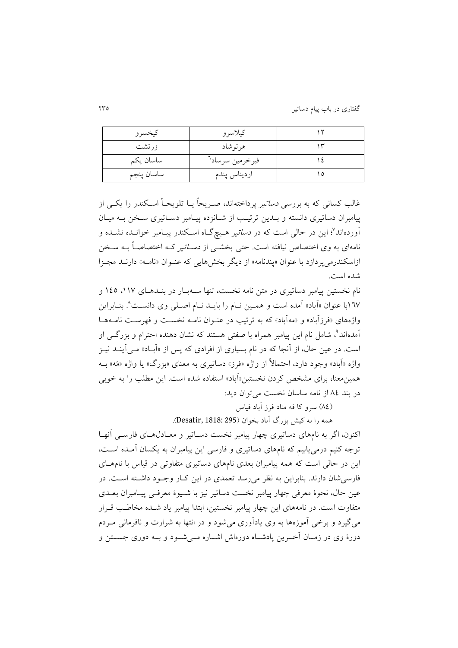گفتاری در باب پیام دساتیر 295

| كيخسرو     | كيلاسرو                     |  |
|------------|-----------------------------|--|
| زرتشت      | هرتوشاد                     |  |
| ساسان يكم  | فيرخرمين سرساد <sup>٦</sup> |  |
| ساسان پنجم | ارديناس پندم                |  |

غالب کسانی که به بررسی *دساتی*ر پرداختهاند، صـریحاً يــا تلويحــاً اســکندر را يکــی از پیامبران دساتیری دانسته و بلدین ترتیب از شـانزده پیـامبر دسـاتیری سـخن بـه میـان آوردهاند<sup>v</sup>؛ این در حالی است که در *دساتیر ه*ـیچگـاه اسـکندر پیـامبر خوانــده نشــده و نامهای به وی اختصاص نیافته است. حتی بخشــی از *دســاتیر* کــه اختصاصــاً بــه ســخن ازاسکندرمی پردازد با عنوان «پندنامه» از ديگر بخشهايی که عنـوان «نامـه» دارنـد مجـزا شده است.

نام نخستین پیامبر دساتیری در متن نامه نخست، تنها ســهبــار در بنــدهــای ۱۱۷، ۱٤٥ و ۱٦۷با عنوان «آباد» آمده است و همــین نــام را بایــد نــام اصــلی وی دانســت^. بنــابراین واژههای «فرزآباد» و «مهآباد» که به ترتیب در عنـوان نامــه نخســت و فهرسـت نامــههــا 3 آمدهاند ، شامل نام اين پیامبر همراه با صفتی هستند که نشان دهنده احترام و بزرگل ی او است. در عین حال، از آنجا که در نام بسیاری از افرادی که پس از «آبـاد» مـی آینــد نیــز واژه «آباد» وجود دارد، احتمالاً از واژه «فرز» دساتیری به معنای «بزرگ» یا واژه «مَه» بــه همین معنا، برای مشخص کردن نخستین«آباد» استفاده شده است. این مطلب را به خوبی در بند ٨٤ از نامه ساسان نخست می توان ديد:

)20( سرو کا فه مناد فرز آباد فیاس

همه را به کیش بزرگ آباد بخوان )295 1818: ,Desatir).

اکنون، اگر به نامهای دساتیری چهار پیامبر نخست دسـاتیر و معـادل@عـای فارســی آنهـا توجه کنیم درمیeیابیم که نامهای دساتیری و فارسی این پیامبران به یکسان آمـده اسـت، این در حالی است که همه پیامبران بعدی نامهای دساتیری متفاوتی در قیاس با نامهـای فارسی شان دارند. بنابراين به نظر می رسد تعمدی در اين كبار وجبود داشته است. در عین حال، نحوۂ معرفی چهار پیامبر نخست دساتیر نیز با شبیوۂ معرفیے پیـامبران بعـلای متفاوت است. در نامههای اين چهار پیامبر نخستین، ابتدا پیامبر ياد شـده مخاطـب قـرار میگیرد و برخی آموزهها به وی يادآوری میشود و در انتها به شرارت و نافرمانی ملردم دورهٔ وی در زمـان آخـرین پادشـاه دورهاش اشـاره مـه شـود و بــه دوری جســتن و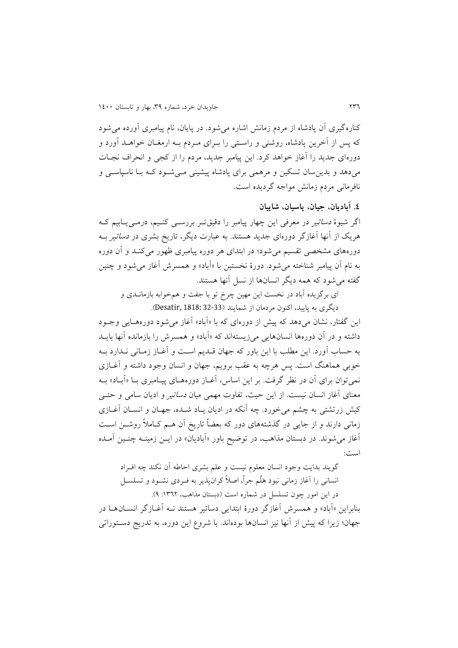کنارهگیری آن پادشاه از مردم زمانش اشاره میشود. در پايان، نام پیامبری آورده میشود که پس از آخرين پادشاه، روشني و راستي را بـراي مـردم بـه ارمغـان خواهـلد آورد و دورهای جديد را آغاز خواهد کرد. اين پیامبر جديد، مردم را از کجی و انحراف نجلات میدهد و بدينسان تسکین و مرهمی برای پادشاه پیشینی مل یشلود کله بلا ناسپاسل ی و نافرمانی مردم زمانش مواجه گرديده است.

**.0 آبادیان، جیان، یاسیان، شاییان**

اگر شیوهٔ *دساتی*ر در معرفی این چهار پیامبر را دقیقتـر بررســی کنــیم، درمــی.پــابیم کــه هريک از آنها آغازگر دورهای جديد هستند. به عبارت ديگر، تاريخ بشری در دساتیر بله دورههای مشخصی تقسیم میشود؛ در ابتدای هر دوره پیامبری ظهور میکنلد و آن دوره به نام آن پیامبر شناخته میشود. دورة نخستین با »آباد« و همسرش آغاز میشود و چنین گفته میشود که همه ديگر انسانها از نسل آنها هستند.

ای برگزيده آباد در نخست اين مهين چرخ تو با جفت و همخوابه بازمانــدی و ديگری به پايید، اکنون مردمان از شمايند )32-33 1818: ,Desatir).

اين گفتار، نشان میدهد که پیش از دورهای که با «آباد» آغاز می شود دورههـایی وجـود داشته و در آن دورهها انسانهايی میزیستهاند که «آباد» و همسرش را بازمانده آنها بايـد به حساب آورد. اين مطلب با اين باور که جهان قلد يم اسل و آغلاز زملان ی نلدارد بله خوبی هماهنگ است. پس هرچه به عقب برویم، جهان و انسان وجود داشته و آغــازی نمی توان برای آن در نظر گرفت. بر این اساس، آغــاز دورههــای پیــامبری بــا «آبــاد» بــه معنای آغاز انسان نیست. از این حیث، تفاوت مهمی میان *دساتی*ر و ادیان سامی و حتلی کیش زرتشتی به چشم میخورد. چه آنکه در ادیان یـاد شـده، جهـان و انســان آغــازی زمانی دارند و از جايی در گذشتههای دور که بعضاً تاريخ آن هلم کلامالً روشلن اسل آغاز می شوند. در دبستان مذاهب، در توضیح باور «آبادیان» در ایـن زمینــه چنــین آمــده است:

گويند بدايت وجود انسان معلوم نيست و علم بشری احاطه آن نکند چه افـراد انسانی را آغاز زمانی نبود هَلُم جراً، اصلاً کرانپذير به فـردی نشـود و تسلسـل در اين امور چون تسلسل در شماره است (دبستان مذاهب، ١٣٦٢: ٩). بنابراين «آباد» و همسرش آغازگر دورهٔ ابتدايی دساتیر هستند نــه آغــازگر انســان۱ـا در جهان؛ زيرا که پیش از آنها نیز انسانها بودهاند. با شروع اين دوره، به تدريج دسـتوراتي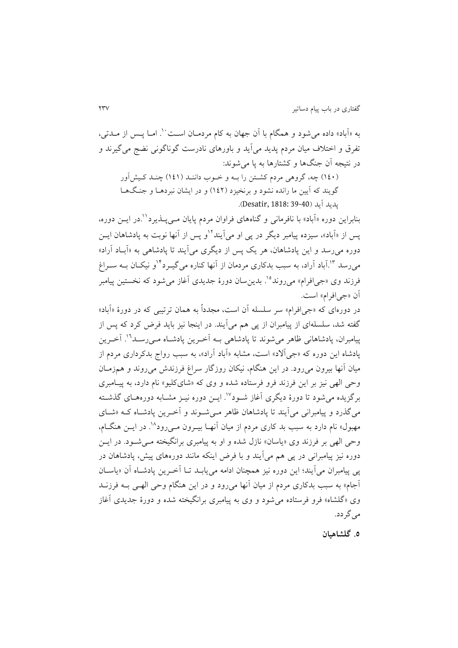به «أباد» داده میشود و همگام با أن جهان به کام مردمـان اسـت<sup>. ۷</sup>. امـا پــس از مــدتی، تفرق و اختلاف میان مردم پدید می آید و باورهای نادرست گوناگونی نضج می گیرند و در نتیجه آن جنگها و کشتارها به پا میشوند:

)001( چه، گروهی مردم کشلتن را بله و خلوب داننلد ) 000( چنلد کل یشآور گويند که آيين ما رانده نشود و برنخيزد (١٤٢) و در ايشان نبردهـا و جنگهـا پديد آيد )39-40 1818: ,Desatir).

بنابراين دوره «أباد» با نافرمانی و گناههای فراوان مردم پايان مـیپــذيرد``.در ايــن دوره، پس از «اَباد»، سیزده پیامبر دیگر در پی او می]یند<sup>۱۲</sup>و پس از آنها نوبت به پادشاهان ایــن دوره میرسد و اين پادشاهان، هر يک پس از ديگری میآيند تا پادشاهی به »آبلاد آراد « م<sub>ی</sub>رسد ۱<sup>۳</sup>.آباد آراد، به سبب بدکاری مردمان از آنها کناره میگیــرد<sup>۰۲</sup>و نیکــان بــه ســراغ فرزند وی «جی|فرام» می روند°'. بدین سان دورهٔ جدیدی آغاز میشود که نخستین پیامبر آن «جي افرام» است.

در دورهای که «جی|فرام» سر سلسله آن است، مجدداً به همان ترتیبی که در دورهٔ «آباد» گفته شد، سلسلهای از پیامبران از پی هم میآيند. در اينجا نیز بايد فرض کرد که پس از پیامبران، پادشاهانی ظاهر میشوند تا پادشاهی بــه أخـرین پادشــاه مــیرســد<sup>۱۶</sup>۰ أخــرین پادشاه اين دوره که »جیآ د« اس ، مشابه »آباد آراد«، به سبب رواج بدکرداری مردم از میان آنها بیرون می رود. در این هنگام، نیکان روزگار سراغ فرزندش می روند و همزمـان وحی الهی نیز بر اين فرزند فرو فرستاده شده و وی که »شایکلیو« نام دارد، به پیل امبری برگزيده می شود تا دورهٔ ديگری آغاز شـود". ايـن دوره نيـز مشـابه دورههـای گذشـته میگذرد و پیامبرانی میآيند تا پادشاهان ظاهر مل یشلوند و آخلر ين پادشلاه کله »شلا ی مهبول» نام دارد به سبب بد کاری مردم از میان آنهـا بیـرون مـیرود^'. در ایــن هنگــام، وحی الهی بر فرزند وی «ياسان» نازل شده و او به پيامبری برانگيخته مـي شـود. در ايـن دوره نیز پیامبرانی در پی هم میآيند و با فرض اينکه مانند دورههای پیش، پادشاهان در پی پیامبران میآيند؛ اين دوره نیز همچنان ادامه میيابلد تلا آخلر ين پادشلاه آن »ياسلان آجام« به سبب بدکاری مردم از میان آنها میرود و در اين هنگام وحی الهل ی بله فرزنلد وی «گلشاه» فرو فرستاده می شود و وی به پیامبری برانگیخته شده و دورهٔ جدیدی آغاز میگردد.

**.5 گلشاهیان**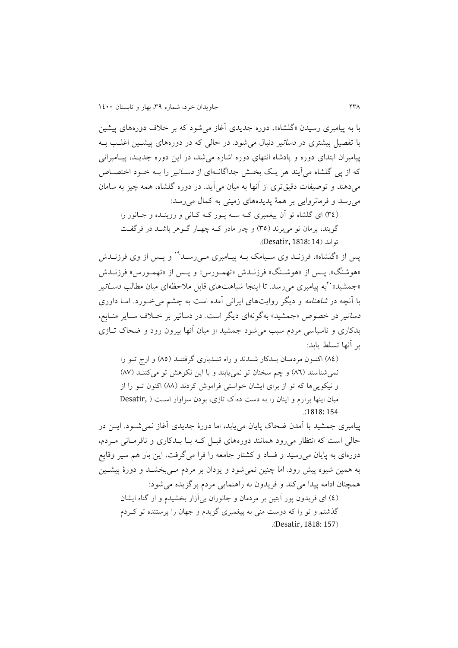با به پیامبری رسیدن »گلشاه«، دوره جديدی آغاز میشود که بر خالف دورههای پیشین با تفصیل بیشتری در *دساتیر* دنبال می شود. در حالی که در دورههای پیشــین اغلــب بــه پیامبران ابتدای دوره و پادشاه انتهای دوره اشاره می شد، در این دوره جدیــد، پیــامبرانی که از پی گلشاه میآیند هر يـک بخـش جداگانـهای از *دسـاتي*ر را بــه خــود اختصــاص میدهند و توصیفات دقیقتری از آنها به میان میآيد. در دوره گلشاه، همه چیز به سامان میرسد و فرمانروايی بر همة پديدههای زمینی به کمال میرسد:

(٣٤) ای گلشاه تو آن پیغمبری کـه سـه پـور کـه کـانی و روينـده و جـانور را گويند، پرمان تو می $\mu$ رند (٣٥) و چار مادر ک $\epsilon$  چهار گلوهر باشـد در فرگفـت تواند )14 1818: ,Desatir).

پس از «گلشاه»، فرزنــد وی ســیامک بــه پیــامبری مــی٫ســد<sup>۱۹</sup> و پــس از وی فرزنــدش «هوشنگ». پـس از «هوشـنگ» فرزنـلـش «تهمـورس» و پـس از «تهمـورس» فرزنـلـش «جمشید» ``به پیامبری میرسد. تا اینجا شباهتهای قابل ملاحظهای میان مطالب *دســاتیر* با آنچه در *شاهنامه* و ديگر روايتهای ايرانی آمده است به چشم میخورد. امـا داوری د*ساتیر* در خصوص «جمشید» بهگونهای دیگر است. در دساتیر بر خیلاف سیایر منیابع، بدکاری و ناسپاسی مردم سبب میشود جمشید از میان آنها بیرون رود و ضحاک تلاز ی بر آنها تسلط يابد:

)20( اکنلون مردملان بلدکار شلدند و راه تنلدباری گرفتنلد )25( و ارج تلو را نمی شناسند (۸٦) و چم سخنان تو نمی پابند و با اين نکوهش تو میکننـد (۸۷) و نیکويیها که تو از برای ايشان خواستی فراموش کردند )22( اکنون تلو را از میان اینها برآرم و اینان را به دست دهآک تازی، بودن سزاوار است ( Desatir, .)1818: 154

پیامبری جمشید با آمدن ضحاک پايان می پابد، اما دورهٔ جديدی آغاز نمی شـود. ايــن در حالی است که انتظار می رود همانند دورههای قبـل کـه بـا بـدکاری و نافرمـانی مـردم، دورهای به پايان میرسید و فساد و کشتار جامعه را فرا میگرف ، اين بار هم سیر وقايع به همین شیوه پیش رود. اما چنین نمیشود و يزدان بر مردم مل یبخشلد و دورة پیشل ین همچنان ادامه پیدا میکند و فريدون به راهنمايی مردم برگزيده میشود: )0( ای فريدون پور آبتین بر مردمان و جانوران بیآزار بخشیدم و از گناه ايشان

گذشتم و تو را که دوست منی به پیغمبری گزیدم و جهان را پرستنده تو کـردم .)Desatir, 1818: 157(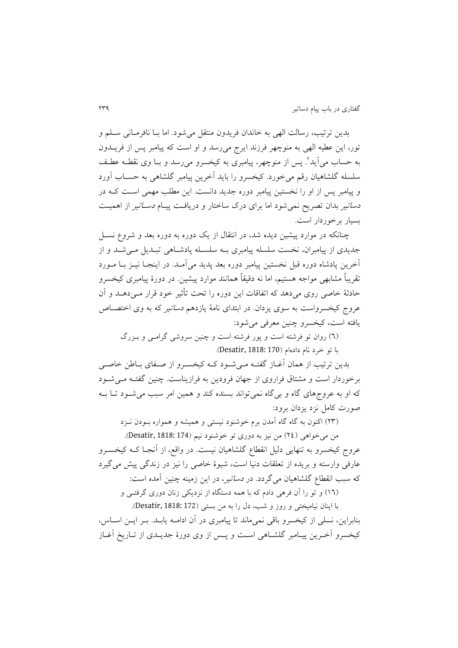بدين ترتیب، رسالت الهی به خاندان فريدون منتقل میشود. اما بــا نافرمــانی ســلم و تور، اين عطيه الهي به منوچهر فرزند ايرج مي رسد و او است که پيامبر پس از فريــدون به حساب می[ید". پس از منوچهر، پیامبری به کیخسرو میرسد و بـا وی نقطــه عطـف سلسله گلشاهیان رقم میخورد. کیخسرو را بايد آخرين پیامبر گلشاهی به حسلاب آورد و پیامبر پس از او را نخستین پیامبر دوره جدید دانست. این مطلب مهمی است کـه در *دساتیر* بدان تصریح نمیشود اما برای درک ساختار و دریافت پیـام *دسـاتیر* از اهمیــت بسیار برخوردار است.

چنانکه در موارد پیشین ديده شد، در انتقال از يک دوره به دوره بعد و شروع نسلل جدیدی از پیامبران، نخست سلسله پیامبری بـه سلسـله پادشـاهی تبـدیل مـیشـد و از آخرين پادشاه دوره قبل نخستین پیامبر دوره بعد پديد میآملد . در اينجلا نیل ز بلا ملورد تقريباً مشابهی مواجه هستیم، اما نه دقیقاً همانند موارد پیشین. در دورة پیامبری کیخسرو حادثهٔ خاصی روی می دهد که اتفاقات این دوره را تحت تأثیر خود قرار مـی دهــد و آن عروج کیخسرواست به سوی یزدان. در ابتدای نامهٔ یازدهم *دساتی*ر که به وی اختصـاص یافته است، کیخسرو چنین معرفی می شود:

(٦) روان تو فرشته است و پور فرشته است و چنین سروشی گرامبی و بـزرگ

با تو خرد نام دادهام )170 1818: ,Desatir).

بدین ترتیب از همان آغــاز گفتــه مــی شــود کــه کیخســرو از صــفاي بــاطن خاصــی برخوردار است و مشتاق فراروی از جهان فرودين به فرازيناست. چنين گفتـه مـی شـود که او به عروجهای گاه و بیگاه نمیتواند بسنده کند و همین امر سبب میشلود تلا بله صورت کامل نزد يزدان برود:

)29( اکنون به گاه گاه آمدن برم خوشنود نیستی و همیشه و همواره بلودن نلزد

من میخواهی )20( من نیز به دوری تو خوشنود نیم )174 1818: ,Desatir). عروج کیخسرو به تنهایی دلیل انقطاع گلشاهیان نیست. در واقع، از آنجـا کــه کیخســرو عارفی وارسته و بريده از تعلقات دنیا است، شیوهٔ خاصی را نیز در زندگی پیش می گیرد که سبب انقطاع گلشاهیان میگردد. در *دساتیر*، در این زمینه چنین آمده است:

)06( و تو را آن فرهی دادم که با همه دستگاه از نزديکی زنان دوری گرفتل ی و با اينان نیامیختی و روز و شب، دل را به من بستی )172 1818: ,Desatir).

بنابراين، نسلي از کيخسرو باقي نمي ماند تا پيامبري در آن ادامـه يابـد. بـر ايــن اســاس، کیخسرو آخـرین پیـامبر گلشــاهی اســت و پــس از وی دورهٔ جدیــدی از تــاریخ آغــاز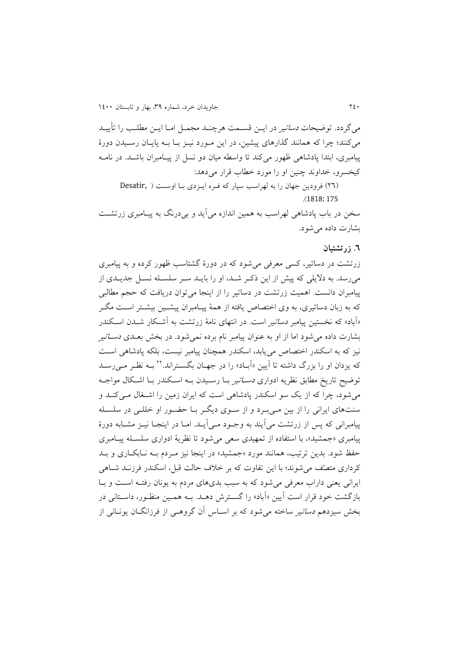می گردد. توضیحات *دساتی*ر در ايــن قســمت هرچنــد مجمــل امــا ايــن مطلــب را تأييــد می کنند؛ چرا که همانند گذارهای پیشین، در این مـورد نیــز بــا بــه پایــان رســیدن دورهٔ پیامبری، ابتدا پادشاهی ظهور میکند تا واسطه میان دو نسل از پیـامبران باشـد. در نامــه کیخسرو، خداوند چنین او را مورد خطاب قرار می دهد:

(٢٦) فرودين جهان را به لهراسب سپار كه فـره ايـزدي بـا اوسـت ( ,Desatir .)1818: 175

سخن در باب پادشاهی لهراسب به همین اندازه میآید و بی درنگ به پیـامبری زرتشـت بشارت داده میشود.

### **.6 زرتشتیان**

زرتشت در دساتیر، کسی معرفی میشود که در دورهٔ گشتاسب ظهور کرده و به پیامبری می رسد. به دلایلی که پیش از این ذکـر شـد، او را بايـد سـر سلسـله نسـل جديـدی از پیامبران دانست. اهمیت زرتشت در دساتیر را از اینجا می توان دریافت که حجم مطالبی که به زبان دساتیری، به وی اختصاص یافته از همهٔ پیـامبران پیشـین بیشـتر اسـت مگـر «آباد» که نخستین پیامبر *دساتی*ر است. در انتهای نامهٔ زرتشت به آشـکار شــدن اســکندر بشارت داده می شود اما از او به عنوان پیامبر نام برده نمی شود. در بخش بعــدی *دســاتی*ر نیز که به اسکندر اختصاص می بابد، اسکندر همچنان پیامبر نیست، بلکه پادشاهی است که یزدان او را بزرگ داشته تا آیین «آبــاد» را در جهــان بگســتراند.<sup>۲۲</sup> بــه نظـر مــی(ســد توضیح تاریخ مطابق نظریه ادواری *دسـاتی*ر بــا رســیدن بــه اســکندر بــا اشــکال مواجــه می شود، چرا که از یک سو اسکندر پادشاهی است که ایران زمین را اشـغال مـی کنـد و سنتهای ايرانی را از بين مـیبـرد و از سـوی ديگـر بـا حضـور او خللـی در سلسـله پیامبرانی که پس از زرتشت می آیند به وجـود مــی|یــد. امــا در اینجــا نیــز مشــابه دورهٔ پیامبری «جمشید»، با استفاده از تمهیدی سعی می شود تا نظریهٔ ادواری سلسـله پیـامبری حفظ شود. بدين ترتیب، همانند مورد »جمشید« در اينجا نیز ملردم بله نلا بکلار ی و بلد کرداری متصّف می شوند؛ با این تفاوت که بر خلاف حالت قبل، اسکندر فرزنـد شــاهی ايراني يعني داراب معرفي مي شود كه به سبب بدي های مردم به يونان رفتـه اسـت و بـا بازگشت خود قرار است آیین «آباد» را گسترش دهـد. بــه همـین منظـور، داسـتانی در بخش سیزدهم *دساتی*ر ساخته می شود که بر اسـاس آن گروهـی از فرزانگــان یونــانی از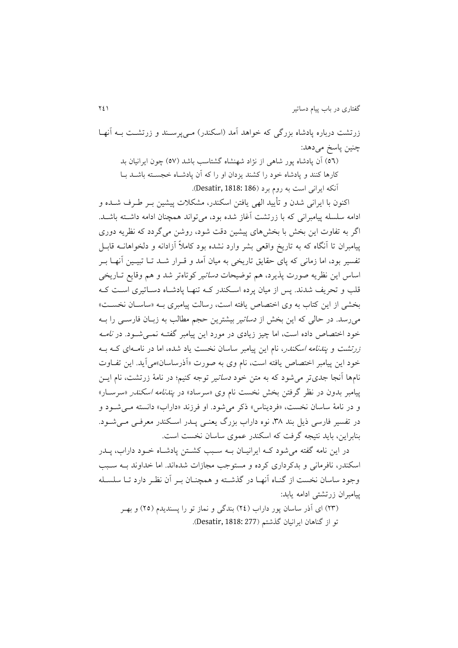زرتشت درباره پادشاه بزرگی که خواهد آمد (اسکندر) ملیپرسلند و زرتشت بـه آنهـا چنین پاسخ میدهد: (٥٦) آن پادشاه پور شاهی از نژاد شهنشاه گشتاسب باشد (٥٧) چون ايرانيان بد

کارها کنند و پادشاه خود را کشند يزدان او را که آن پادشلاه خجسلته باشلد بلا آنکه ايراني است به روم برد (Desatir, 1818: 186).

اکنون با ايرانی شدن و تأيید الهی يافتن اسکندر، مشکالت پیشین بلر لرف شلده و ادامه سلسله پیامبرانی که با زرتشت آغاز شده بود، می تواند همچنان ادامه داشته باشـد. اگر به تفاوت اين بخش با بخشهای پیشین دق شود، روشن میگردد که نظريه دوری پیامبران تا آنگاه که به تاريخ واقعی بشر وارد نشده بود کامالً آزادانه و دلخواهانله قابلل تفسیر بود، اما زمانی که پای حقايق تاريخی به میان آمد و قـرار شــد تــا تبيــين آنهــا بــر اساس اين نظريه صورت پذيرد، هم توضيحات *دساتير* كوتاهتر شد و هم وقايع تـاريخي قلب و تحريف شدند. پس از میان پرده اسلکندر کله تنهلا پادشلاه دسلات یری اسل کله بخشی از اين کتاب به وی اختصاص پافته است، رسالت پيامبری بـه «ساسـان نخسـت» می رسد. در حالی که اين بخش از *دساتي*ر بيشترين حجم مطالب به زبـان فارســي را بــه خود اختصاص داده است، اما چیز زیادی در مورد این پیامبر گفتـه نمــی شــود. در *نامــه* زرتشت و *پندنامه اسکندر*، نام اين پيامبر ساسان نخست ياد شده، اما در نامــهای کــه بــه خود اين پيامبر اختصاص يافته است، نام وي به صورت «آذرساسان»مي آيد. اين تفـاوت نامها آنجا جدیتر می شود که به متن خود *دساتیر* توجه کنیم؛ در نامهٔ زرتشت، نام ایــن پیامبر بدون در نظر گرفتن بخش نخست نام وی «سرساد» در *پندنامه اسکندر* «سرسـار» و در نامهٔ ساسان نخست، «فردیناس» ذکر میشود. او فرزند «داراب» دانسته مـیشـود و در تفسیر فارسی ذیل بند ۳۸، نوه داراب بزرگ یعنـی یــدر اســکندر معرفـی مــیشــود. بنابراين، بايد نتيجه گرفت که اسکندر عموی ساسان نخست است.

در اين نامه گفته می شود کـه ايرانيـان بــه سـبب کشــتن پادشــاه خــود داراب، پــدر اسکندر، نافرمانی و بدکرداری کرده و مستوجب مجازات شدهاند. اما خداوند بله سلبب وجود ساسان نخست از گنـاه آنهـا در گذشـته و همچنـان بـر آن نظـر دارد تـا سلسـله پیامبران زرتشتی ادامه يابد:

)29( ای آذر ساسان پور داراب )20( بندگی و نماز تو را پسنديدم )25( و بهلر تو از گناهان ايرانیان گذشتم )277 1818: ,Desatir).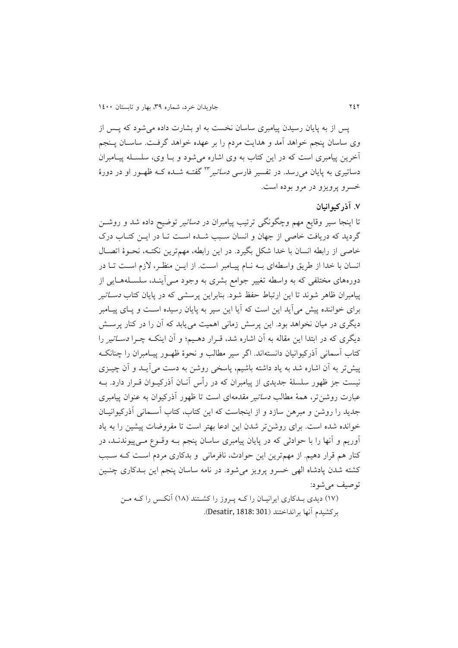پس از به پايان رسيدن پيامبری ساسان نخست به او بشارت داده می شود که پـس از وی ساسان پنجم خواهد آمد و هدايت مردم را بر عهده خواهد گرفت. ساسـان پـنجم آخرين پيامبری است که در اين کتاب به وی اشاره می شود و بـا وی، سلسـله پيــامبران دساتیری به پایان می<sub>ر</sub>سد. در تفسیر فارس*ی دساتیر* <sup>۲۳</sup> گفتــه شــده کــه ظهــور او در دورهٔ خسرو پرويزو در مرو بوده است.

### **.2 آذرکیوانیان**

تا اينجا سیر وقايع مهم وچگونگی ترتیب پیامبران در دساتیر توضیح داده شد و روشلن گرديد که دريافت خاصی از جهان و انسان سبب شـده اسـت تـا در ايـن کتـاب درک خاصی از رابطه انسان با خدا شکل بگیرد. در اين رابطه، مهمترين نکتله، نحلو ة اتصلال انسان با خدا از طريق واسطهای بـه نـام پيـامبر اسـت. از ايــن منظـر، لازم اسـت تــا در دورههای مختلفی که به واسطه تغییر جوامع بشری به وجود مـی]ینـد، سلسـلههـایی از پیامبران ظاهر شوند تا اين ارتباط حفظ شود. بنابراين پرسشی که در پايان کتاب *دسـاتي*ر برای خواننده پیش می آيد اين است که آيا اين سير به پايان رسيده اسـت و پــای پيــامبر ديگری در ميان نخواهد بود. اين پرسش زمانی اهميت می بابد که آن را در کنار پرسـش ديگری که در ابتدا اين مقاله به آن اشاره شد، قـرار دهـيم؛ و آن اينکـه چـرا *دسـاتير* را کتاب آسمانی آذرکیوانیان دانستهاند. اگر سیر مطالب و نحوهٔ ظهـور پیـامبران را چنانکـه پیش تر به آن اشاره شد به یاد داشته باشیم، پاسخی روشن به دست می آیـد و آن چیــزی نیست جز ظهور سلسلهٔ جدیدی از پیامبران که در رأس آنــان آذرکیــوان قــرار دارد. بــه عبارت روشنتر، همهٔ مطالب *دساتیر مقدمه*ای است تا ظهور آذرکیوان به عنوان پیامبری جديد را روشن و مبرهن سازد و از اينجاست که اين کتاب، کتاب آسـماني آذرکيوانيـان خوانده شده است. برای روشن تر شدن اين ادعا بهتر است تا مفروضات پیشین را به ياد آوريم و آنها را با حوادثی که در پايان پیامبری ساسان پنجم بله وقلوع مل یپیوندنلد، در کنار هم قرار دهیم. از مهمترين اين حوادث، نافرمانی و بدکاری مردم اسل کله سلبب کشته شدن پادشاه الهی خسرو پرویز می شود. در نامه ساسان پنجم این بـدکاری چنـین توصیف میشود:

(١٧) ديدی بلدکاري ايرانيـان را کـه پـروز را کشـتند (١٨) آنکـس را کـه مـن برکشیدم آنها برانداختند )301 1818: ,Desatir).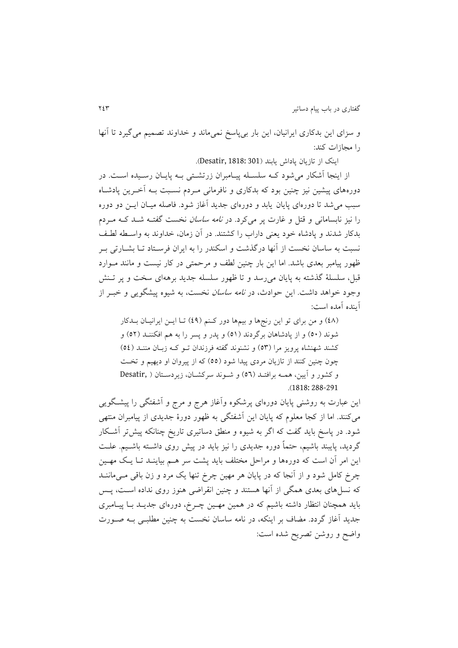و سزای اين بدکاری ايرانیان، اين بار بیپاسخ نمیماند و خداوند تصمیم میگیرد تا آنها را مجازات کند:

اينک از تازيان پاداش يابند )301 1818: ,Desatir).

از اينجا آشکار می شود کـه سلسـله پيـامبران زرتشـتی بـه پايـان رسـيده اسـت. در دورههای پیشین نیز چنین بود که بدکاری و نافرمانی مـردم نسـبت بــه آخـرین پادشــاه سبب می شد تا دورهای پايان يابد و دورهای جديد آغاز شود. فاصله ميـان ايــن دو دوره را نیز نابسامانی و قتل و غارت پر میکرد. در *نامه ساسان* نخست گفتـه شـد کـه مـردم بدکار شدند و پادشاه خود يعنی داراب را کشتند. در آن زمان، خداوند به واسلطه لطلف نسبت به ساسان نخست از آنها درگذشت و اسکندر را به ایران فرسـتاد تــا بشــارتی بــر ظهور پیامبر بعدی باشد. اما این بار چنین لطف و مرحمتی در کار نیست و مانند مـوارد قبل، سلسلهٔ گذشته به پايان می رسد و تا ظهور سلسله جديد برههای سخت و پر تـنش وجود خواهد داشت. اين حوادث، در *نامه ساسان* نخست، به شيوه پيشگويي و خبـر از آينده آمده است:

(٤٨) و من برای تو اين رنجها و بيمها دور كنم (٤٩) تـا ايـن ايرانيـان بـدكار شوند (٥٠) و از پادشاهان برگردند (٥١) و پدر و پسر را به هم افکننـد (٥٢) و کشند شهنشاه پرويز مرا (٥٣) و نشنوند گفته فرزندان تـو کـه زبـان مننـد (٥٤) چون چنین کنند از تازيان مردی پيدا شود (٥٥) که از پیروان او ديهیم و تخت و کشور و آيین، همله برافتلد ) 56( و شلون د سرکشلان، ز يردسلتان ) ,Desatir .)1818: 288-291

اين عبارت به روشنی پايان دورهای پرشکوه وآغاز هرج و مرج و آشفتگی را پیشلگو يی میکنند. اما از کجا معلوم که پايان اين آشفتگی به ظهور دورة جديدی از پیامبران منتهی شود. در پاسخ بايد گفت که اگر به شيوه و منطق دساتيری تاريخ چنانکه پيشتر آشکار گرديد، پايبند باشيم، حتماً دوره جديدی را نيز بايد در پيش روی داشــته باشــيم. علــت اين امر آن است که دورهها و مراحل مختلف بايد پشت سر هـم بياينــد تــا يــک مهــين چرخ کامل شود و از آنجا که در پایان هر مهین چرخ تنها یک مرد و زن باقی مـی،ماننــد که نسل های بعدی همگی از آنها هستند و چنین انقراضی هنوز روی نداده اسـت، پــس بايد همچنان انتظار داشته باشیم که در همین مهـین چـرخ، دورهای جدیــد بــا پيــامبری جديد آغاز گردد. مضاف بر اينکه، در نامه ساسان نخست به چنين مطلبـي بــه صــورت واضح و روشن تصريح شده است: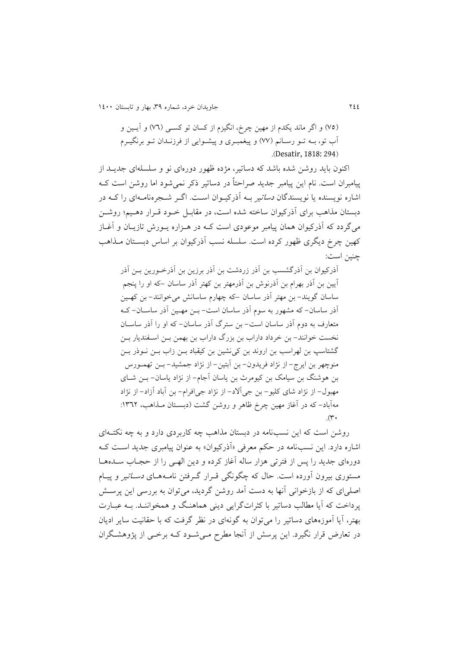200 جاويدان خرد، شماره ،93 بهار و تابستان 0011

(٧٥) و اگر ماند يکدم از مهين چرخ، انگيزم از کسان تو کســي (٧٦) و آيــين و آب تو، بــه تــو رســانم (٧٧) و پیغمبـري و پیشــوایی از فرزنــدان تــو برنگيــرم .)Desatir, 1818: 294(

اکنون بايد روشن شده باشد که دساتیر، موده ظهور دورهای نو و سلسلهای جديل د از پیامبران است. نام این پیامبر جدید صراحتاً در دساتیر ذکر نمی شود اما روشن است ک اشاره نویسنده یا نویسندگان *دساتی*ر بــه آذرکیــوان اســت. اگــر شــجرهنامــهای را کــه در دبستان مذاهب برای آذرکیوان ساخته شده است، در مقابـل خـود قـرار دهـیم؛ روشـن می گردد که آذرکیوان همان پیامبر موعودی است کــه در هــزاره پــورش تازيــان و آغــاز کهین چرخ دیگری ظهور کرده است. سلسله نسب آذرکیوان بر اساس دبسـتان مـذاهب چنین است:

آذرکیوان بن آذرگشسب بن آذر زردشت بن آذر برزين بن آذرخورين بــن آذر آيین بن آذر بهرام بن آذرنوش بن آذرمهتر بن کهتر آذر ساسان –که او را پنجم ساسان گويند- بن مهتر آذر ساسان –که چهارم ساسانش میخوانند- بن کهل ین آذر ساسان- که مشهور به سوم آذر ساسان اس - بلن مهل ین آذر ساسلان - کله متعارف به دوم آذر ساسان اس - بن سترگ آذر ساسان- که او را آذر ساسلان نخست خوانند- بن خرداد داراب بن بزرگ داراب بن بهمن بـن اسـفنديار بـن گشتاسپ بن لهراسب بن اروند بن کینشین بن کیقباد بلن زاب بلن نلوذر بلن منوچهر بن ايرج- از نواد فريدون- بن آبتین- از نواد جمشید- بلن تهملورس بن هوشنگ بن سیامک بن کیومرث بن ياسان آجام- از نواد ياسان- بلن شلا ی مهبول- از نواد شای کلیو- بن جیآ د- از نواد جیافرام- بن آباد آزاد- از نواد مهآباد– که در آغاز مهین چرخ ظاهر و روشن گشت (دبسـتان مـذاهب، ١٣٦٢:  $(\mathbf{r}$ 

روشن است که این نسبنامه در دبستان مذاهب چه کاربردی دارد و به چه نکتـهای اشاره دارد. اين نسبنامه در حکم معرفی «آذرکیوان» به عنوان پیامبری جدید است ک دورهای جديد را پس از فترتی هزار ساله آغاز کرده و دين الهـی را از حجـاب ســدههــا مستوری بیرون آورده است. حال که چگونگی قبرار گیرفتن نامیههای *دستاتی*ر و پینام اصلیای که از بازخوانی آنها به دست آمد روشن گرديد، میتوان به بررسی اين پرسش پرداخت که آيا مطالب دساتير با کثراتگرايی دينی هماهنگ و همخواننـد. بـه عبـارت بهتر، آيا آموزههای دساتیر را میتوان به گونهای در نظر گرف که با حقانی ساير اديان در تعارض قرار نگیرد. این پرسش از آنجا مطرح مـیشـود کـه برخـی از پژوهشـگران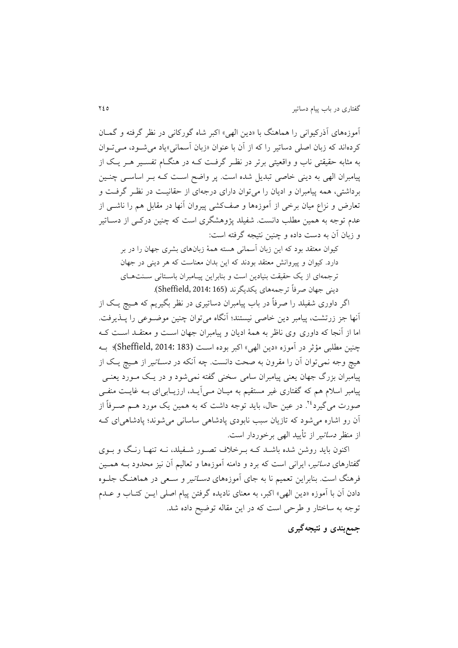آموزههای آذرکیوانی را هماهنگ با »دين الهی« اکبر شاه گورکانی در نظر گرفته و گملان کردهاند که زبان اصلی دساتیر را که از آن با عنوان «زبان آسمانی»یاد می شـود، مـی تـوان به مثابه حقیقتی ناب و واقعیتی برتر در نظـر گرفـت کـه در هنگــام تفســیر هــر یـک از پیامبران الهی به دينی خاصی تبديل شده است. پر واضح است کـه بـر اساسـی چنـين برداشتی، همه پیامبران و ادیان را می توان دارای درجهای از حقانیـت در نظـر گرفـت و تعارض و نزاع میان برخی از آموزهها و صفکشی پیروان آنها در مقابل هم را ناشل ی از عدم توجه به همین مطلب دانست. شفیلد پژوهشگری است که چنین درکـی از دســاتیر و زبان آن به دست داده و چنین نتیجه گرفته است:

کیوان معتقد بود که اين زبان آسمانی هسته همة زبانهای بشری جهان را در بر دارد. کیوان و پیروانش معتقد بودند که اين بدان معناست که هر دينی در جهان ترجمهای از يک حقيقت بنيادين است و بنابراين پيـامبران باسـتانی سـنتهـای دينی جهان صرفاً ترجمههای يکديگرند )165 2014: ,Sheffield).

اگر داوری شفیلد را صرفاً در باب پیامبران دساتیری در نظر بگیریم که هـیچ یـک از آنها جز زرتشت، پیامبر دین خاصی نیستند؛ آنگاه می توان چنین موضـوعی را پــذیرفت. اما از آنجا که داوری وی ناظر به همة اديان و پیامبران جهان اسل و معتقلد اسل کله چنین مطلبی مؤثر در آموزه «دین الهی» اکبر بوده است (183 Sheffield, 2014: 1)؛ بـه هیچ وجه نمی توان آن را مقرون به صحت دانست. چه آنکه در *دسـاتیر* از هـیچ یـک از پیامبران بزرگ جهان يعنی پیامبران سامی سخنی گفته نمی شود و در يـک مـورد يعنـبي پیامبر اسلام هم که گفتاری غیر مستقیم به میـان مـی|یـد، ارزیـابی|ی بـه غایـت منفـی صورت می گیرد<sup>۲٤</sup>. در عین حال، باید توجه داشت که به همین یک مورد هــم صــرفاً از آن رو اشاره میشود که تازيان سبب نابودی پادشاهی ساسانی میشوند؛ پادشاهیای کله از منظر *دساتی*ر از تأیید الهی برخوردار است.

اکنون بايد روشن شده باشـد کـه بـرخلاف تصـور شـفيلد، نــه تنهـا رنـگ و بــوی گفتارهای *دساتیر*، ایرانی است که برد و دامنه آموزهها و تعالیم آن نیز محدود بــه همــین فرهنگ است. بنابراین تعمیم نا به جای آموزههای *دسـاتیر* و سـعی در هماهنـگ جلــوه دادن آن با آموزه »دين الهی« اکبر، به معنای ناديده گرفتن پیام اصلی ايل ن کتلاب و علدم توجه به ساختار و طرحی است که در اين مقاله توضيح داده شد.

**جمعبندی و نتیجهگیری**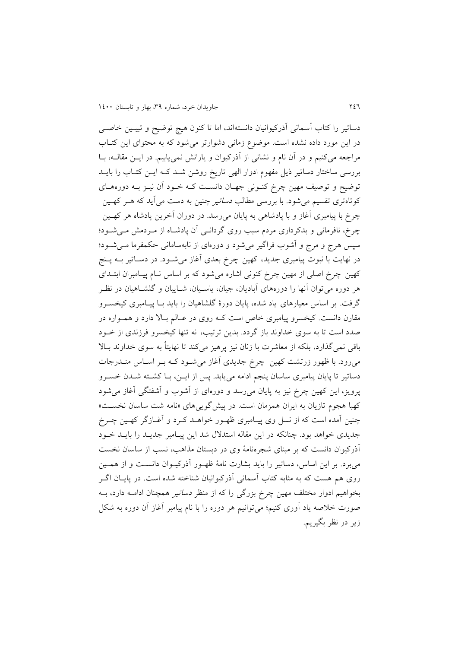دساتیر را کتاب آسمانی آذرکیوانیان دانستهاند، اما تا کنون هیچ توضیح و تبیلی ن خاصل ی در اين مورد داده نشده است. موضوع زمانی دشوارتر می شود که به محتوای اين کتـاب مراجعه میکنیم و در آن نام و نشانی از آذرکیوان و يارانش نمیيابیم. در ايل ن مقالله، بلا بررسی ساختار دساتير ذيل مفهوم ادوار الهی تاريخ روشن شـد کـه ايـن کتـاب را بايـد توضیح و توصیف مهین چرخ کنـونی جهـان دانسـت کـه خـود آن نیـز بـه دورههـای کوتاهتری تقسیم میشود. با بررسی مطالب *دساتیر* چنین به دست میآید که هــر کهــین چرخ با پیامبری آغاز و با پادشاهی به پايان میرسد. در دوران آخرين پادشاه هر کهل ین چرخ، نافرمانی و بدکرداری مردم سبب روی گردانـی آن پادشـاه از مـردمش مـیشـود؛ سپس هرج و مرج و آشوب فراگیر میشود و دورهای از نابهسامانی حکمفرما مل یشلود؛ در نهايت با نبوت پیامبری جديد، کهين چرخ بعدی آغاز میشـود. در دســاتير بــه پــنج کهین چرخ اصلی از مهین چرخ کنونی اشاره میشود که بر اساس نلام پیلامبران ابتلدای هر دوره میتوان آنها را دورههای آباديان، جیان، ياسلیان، شلايیان و گلشلاهیان در نظلر گرفت. بر اساس معیارهای یاد شده، پایان دورهٔ گلشاهیان را باید بـا پیـامبری کیخســرو مقارن دانست. کیخسرو پیامبری خاص است کـه روی در عـالم بـالا دارد و همـواره در صدد است تا به سوی خداوند باز گردد. بدين ترتيب، نه تنها کيخسرو فرزندی از خــود باقی نمیگذارد، بلکه از معاشرت با زنان نیز پرهیز میکند تا نهايتاً به سوی خداوند بلا میرود. با ظهور زرتشت کهین چرخ جدیدی آغاز میشود کـه بـر اسـاس منــدرجات دساتیر تا پایان پیامبری ساسان پنجم ادامه می پابد. پس از ایــن، بــا کشــته شــدن خســرو پرويز، اين کهین چرخ نیز به پايان میرسد و دورهای از آشوب و آشفتگی آغاز میشود کهبا هجوم تازيان به ايران همزمان است. در پيشگويیهای «نامه شت ساسان نخسـت» چنین آمده است که از نسل وی پیـامبری ظهـور خواهــد کـرد و آغــازگر کهــین چــرخ جديدی خواهد بود. چنانکه در اين مقاله استدلال شد اين پيـامبر جديـد را بايـد خـود آذرکیوان دانست که بر مبنای شجرهنامهٔ وی در دبستان مذاهب، نسب از ساسان نخست می برد. بر اين اساس، دساتير را بايد بشارت نامهٔ ظهـور آذرکيـوان دانسـت و از همـين روی هم هست که به مثابه کتاب آسمانی آذرکیوانیان شناخته شده است. در پایـان اگــر بخواهیم ادوار مختلف مهین چرخ بزرگی را که از منظر *دساتیر ه*مچنان ادامــه دارد، بــه صورت خالصه ياد آوری کنیم؛ میتوانیم هر دوره را با نام پیامبر آغاز آن دوره به شکل زير در نظر بگیريم.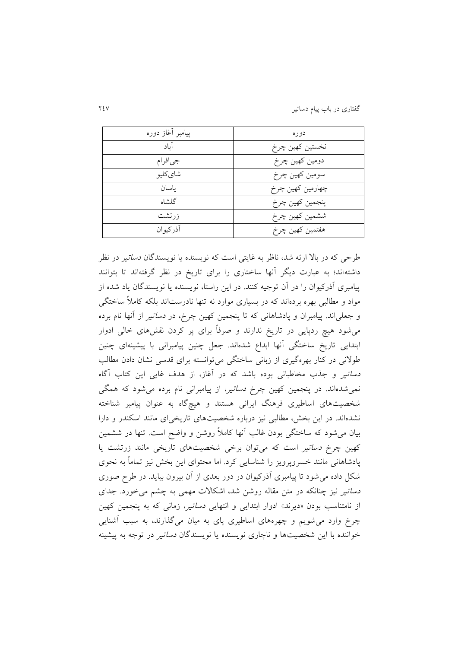گفتاری در باب پیام دساتیر 203

| پيامبر أغاز دوره | دو ره            |
|------------------|------------------|
| آناد             | نخستين كهين چرخ  |
| جيافرام          | دومين كهين چرخ   |
| شای کلیو         | سومين كهين چرخ   |
| ىاسان            | چھارمین کھین چرخ |
| گلشاه            | پنجمين كهين چرخ  |
| زر تشت           | ششمين كهين چرخ   |
| آذركيوان         | هفتمين كهين چرخ  |

طرحی که در بالا ارئه شد، ناظر به غايتی است که نويسنده يا نويسندگان *دساتي*ر در نظر داشتهاند؛ به عبارت ديگر آنها ساختاری را برای تاريخ در نظر گرفتهاند تا بتوانند پیامبری آذرکیوان را در آن توجیه کنند. در اين راستا، نويسنده يا نويسندگان ياد شده از مواد و مطالبی بهره بردهاند که در بسیاری موارد نه تنها نادرس اند بلکه کامالً ساختگی و جعلیاند. پیامبران و پادشاهانی که تا پنجمین کهین چرخ، در دساتیر از آنها نام برده میشود هیچ ردپايی در تاريخ ندارند و صرفاً برای پر کردن نقشهای خالی ادوار ابتدايی تاريخ ساختگی آنها ابداع شدهاند. جعل چنین پیامبرانی با پیشینهای چنین و نی در کنار بهرهگیری از زبانی ساختگی میتوانسته برای قدسی نشان دادن مطالب د*ساتیر* و جذب مخاطبانی بوده باشد که در آغاز، از هدف غایی این کتاب آگاه نمیشدهاند. در پنجمین کهین چرخ دساتیر، از پیامبرانی نام برده میشود که همگی شخصیتهای اساطیری فرهنگ ایرانی هستند و هیچگاه به عنوان پیامبر شناخته نشدهاند. در اين بخش، مطالبی نيز درباره شخصيتهای تاريخیای مانند اسکندر و دارا بیان میشود که ساختگی بودن غالب آنها کامالً روشن و واضح اس . تنها در ششمین کهین چرخ *دساتیر* است که میتوان برخی شخصیتهای تاریخی مانند زرتشت یا پادشاهانی مانند خسروپرويز را شناسايی کرد. اما محتوای اين بخش نیز تماماً به نحوی شکل داده میشود تا پیامبری آذرکیوان در دور بعدی از آن بیرون بیايد. در ر صوری د*ساتیر* نیز چنانکه در متن مقاله روشن شد، اشکالات مهمی به چشم می خورد. جدای از نامتناسب بودن «ديرند» ادوار ابتدايی و انتهايی *دساتير، زمانی كه به پنجمین كهين* چرخ وارد میشويم و چهرههای اسا یری پای به میان میگذارند، به سبب آشنايی خواننده با اين شخصیتها و ناچاری نويسنده يا نويسندگان *دساتی*ر در توجه به پیشینه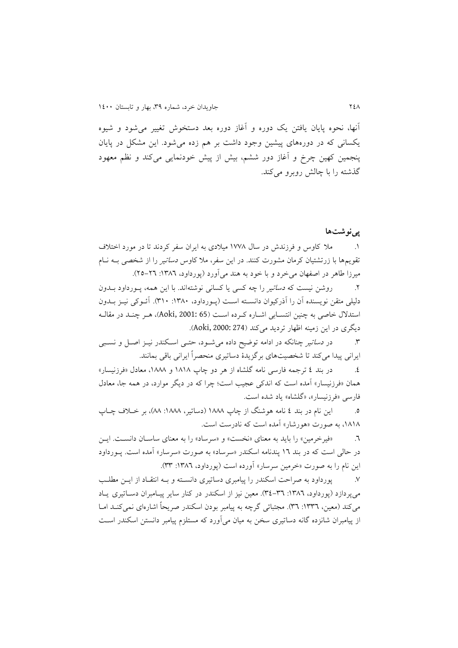آنها، نحوه پايان يافتن يک دوره و آغاز دوره بعد دستخوش تنییر میشود و شیوه يکسانی که در دورههای پیشین وجود داش بر هم زده میشود. اين مشکل در پايان پنجمین کهین چرخ و آغاز دور ششم، بیش از پیش خودنمايی میکند و نظم معهود گذشته را با چالش روبرو میکند.

#### **پینوشتها**

.0 مال کاوس و فرزندش در سال 0332 میالدی به ايران سفر کردند تا در مورد اختالف تقويمها با زرتشتیان کرمان مشورت کنند. در اين سفر، مال کاوس دساتیر را از شخصی بله نلام میرزا طاهر در اصفهان می خرد و با خود به هند می آورد (پورداود، ١٣٨٦: ٢٦-٢٥).

.2 روشن نیست که *دساتیر را چه کسی یا کسانی نوشتهاند. با این همه*، پـورداود بــدون دلیلی متقن نویسنده آن را آذرکیوان دانسـته اسـت (پـورداود، ۱۳۸۰: ۳۱۰). آئـوکی نیــز بــدون استدلال خاصی به چنین انتسـابی اشـاره کـرده اسـت (Aoki, 2001: 65)، هـر چنـد در مقالـه ديگری در اين زمينه اظهار ترديد میکند (274 :Aoki, 2000).

۳. در د*ساتیر* چنانکه در ادامه توضیح داده می شـود، حتـبی اسـکندر نیــز اصــل و نسـبی ايراني پيدا ميكند تا شخصيتهاي برگزيدهٔ دساتيري منحصراً ايراني باقي بمانند.

.0 در بند 0 ترجمه فارسی نامه گلشاه از هر دو چاپ 0202 و ،0222 معادل »فرزنیسار« همان «فرزنیسار» آمده است که اندکی عجیب است؛ چرا که در دیگر موارد، در همه جا، معادل فارسی «فرزنیسار»، «گلشاه» یاد شده است.

.5 اين نام در بند 0 نامه هوشنگ از چاپ 0222 )دساتیر، :0222 22(، بر خلالف چلاپ ۱۸۱۸، به صورت «هورشار» آمده است که نادرست است.

.6 »فیرخرمین« را بايد به معنای »نخس « و »سرساد« را به معنای ساسلان دانسل . ا يل ن در حالی است که در بند ١٦ پندنامه اسکندر «سرساد» به صورت «سرسار» آمده است. پـورداود اين نام را به صورت «خرمين سرسار» آورده است (پورداود، ١٣٨٦: ٣٣).

۷. پورداود به صراحت اسکندر را پیامبری دساتیری دانسـته و بـه انتقـاد از ايــن مطلـب می پردازد (پورداود، ١٣٨٦: ٣٤-٣٤). معین نیز از اسکندر در کنار ساير پيـامبران دســاتيري يــاد میکند (معین، ١٣٣٦: ٣٦). مجتبائی گرچه به پیامبر بودن اسکندر صريحاً اشارهای نمیکنـد امـا از پیامبران شانزده گانه دساتیری سخن به میان میآورد که مستلزم پیامبر دانستن اسکندر اسل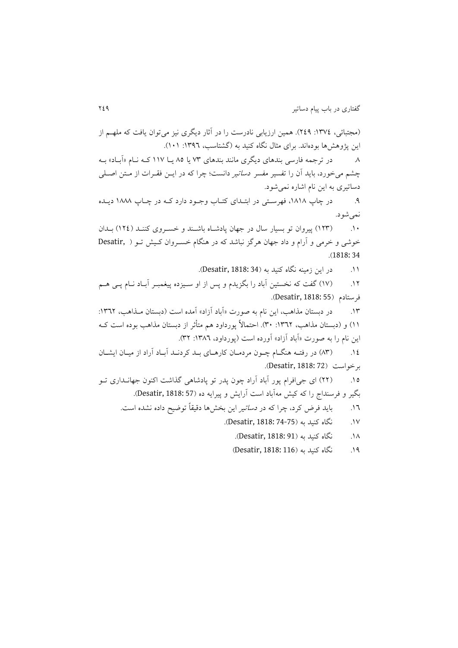(مجتبائی، ١٣٧٤: ٢٤٩). همین ارزيابی نادرست را در آثار ديگری نيز می توان يافت که ملهــم از اين پژوهشها بودهاند. برای مثال نگاه کنيد به (گشتاسب، ١٣٩٦: ١٠١). .2 در ترجمه فارسی بندهای ديگری مانند بندهای 39 يا 25 يل ا 003 کله نلام »آبلاد « بله چشم میخورد، بايد آن را تفسير مفسر د*ساتير* دانست؛ چرا که در ايـن فقـرات از مـتن اصـلي

دساتیری به اين نام اشاره نمیشود. ۹. در چاپ ۱۸۱۸، فهرستی در ابتلدای کتـاب وجـود دارد کـه در چـاپ ۱۸۸۸ ديـله

نمی شود. .01 )029( پیروان تو بسیار سال در جهان پادشلاه باشلند و خسلرو ی کننلد ) 020( بلدان

خوشی و خرمی و آرام و داد جهان هرگز نباشد که در هنگام خسلروان کل یش تلو ) ,Desatir .)1818: 34

.<br>١١. در اين زمينه نگاه کنيد به (Desatir, 1818: 34).

۱۲. (۱۷) گفت که نخستین آباد را بگزیدم و پس از او سـیزده پیغمبـر آبـاد نـام پــی هــم فرستادم )55 1818: ,Desatir).

۱۳. در دبستان مذاهب، اين نام به صورت «آباد آزاد» آمده است (دبستان مـذاهب، ١٣٦٢: 01) و (دبستان مذاهب، ١٣٦٢: ٣٠). احتمالاً پورداود هم متأثر از دبستان مذاهب بوده است کـه اين نام را به صورت «آباد آزاد» آورده است (پورداود، ١٣٨٦: ٣٢).

.00 )29( در رفتله هنگلام چلون مردملان کارهلای بلد کردنلد آبلاد آراد از میلان ايشلان برخواست (Desatir, 1818: 72).

۱۵. (۲۲) ای جیافرام پور آباد آراد چون پدر تو پادشاهی گذاشت اکنون جهانـداری تــو بگیر و فرسنداج را که کیش مهآباد اس آرايش و پیرايه ده )57 1818: ,Desatir).

- ١٦. بايد فرض کرد، چرا که در *دساتير* اين بخشها دقیقاً توضیح داده نشده است.
	- .03 نگاه کنید به (Desatir, 1818: 74-75).
		- .02 نگاه کنید به )91 1818: ,Desatir).
		- .04 نگاه کنید به (Desatir, 1818: 116)